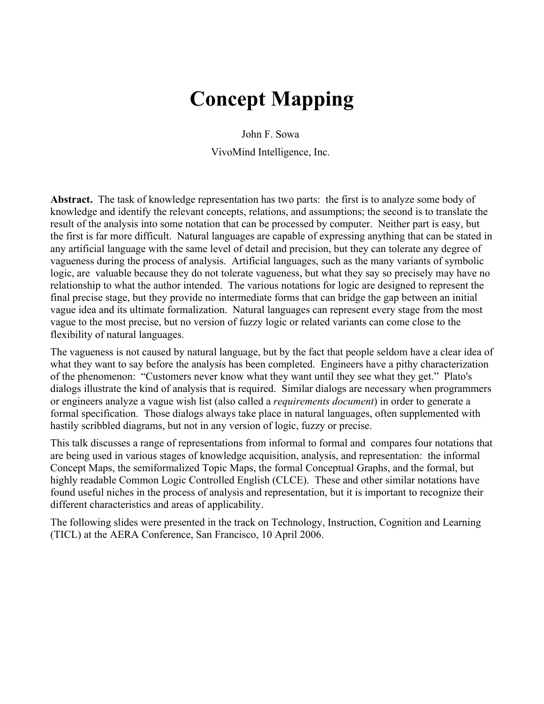# **Concept Mapping**

John F. Sowa VivoMind Intelligence, Inc.

**Abstract.** The task of knowledge representation has two parts: the first is to analyze some body of knowledge and identify the relevant concepts, relations, and assumptions; the second is to translate the result of the analysis into some notation that can be processed by computer. Neither part is easy, but the first is far more difficult. Natural languages are capable of expressing anything that can be stated in any artificial language with the same level of detail and precision, but they can tolerate any degree of vagueness during the process of analysis. Artificial languages, such as the many variants of symbolic logic, are valuable because they do not tolerate vagueness, but what they say so precisely may have no relationship to what the author intended. The various notations for logic are designed to represent the final precise stage, but they provide no intermediate forms that can bridge the gap between an initial vague idea and its ultimate formalization. Natural languages can represent every stage from the most vague to the most precise, but no version of fuzzy logic or related variants can come close to the flexibility of natural languages.

The vagueness is not caused by natural language, but by the fact that people seldom have a clear idea of what they want to say before the analysis has been completed. Engineers have a pithy characterization of the phenomenon: "Customers never know what they want until they see what they get." Plato's dialogs illustrate the kind of analysis that is required. Similar dialogs are necessary when programmers or engineers analyze a vague wish list (also called a *requirements document*) in order to generate a formal specification. Those dialogs always take place in natural languages, often supplemented with hastily scribbled diagrams, but not in any version of logic, fuzzy or precise.

This talk discusses a range of representations from informal to formal and compares four notations that are being used in various stages of knowledge acquisition, analysis, and representation: the informal Concept Maps, the semiformalized Topic Maps, the formal Conceptual Graphs, and the formal, but highly readable Common Logic Controlled English (CLCE). These and other similar notations have found useful niches in the process of analysis and representation, but it is important to recognize their different characteristics and areas of applicability.

The following slides were presented in the track on Technology, Instruction, Cognition and Learning (TICL) at the AERA Conference, San Francisco, 10 April 2006.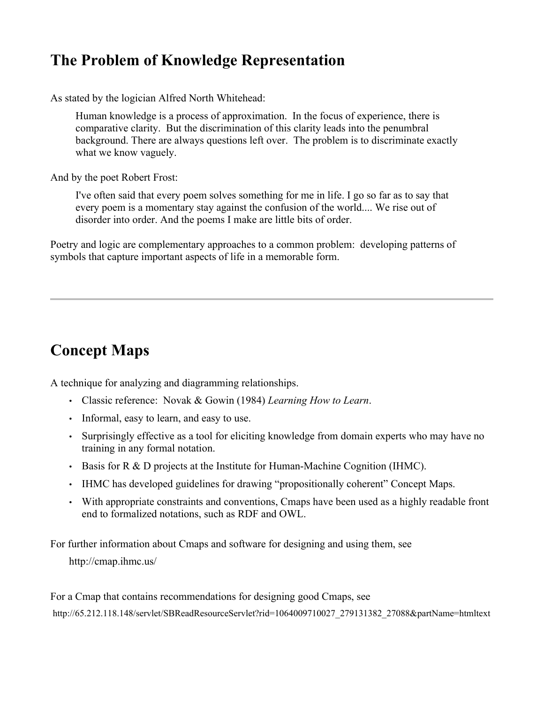### **The Problem of Knowledge Representation**

As stated by the logician Alfred North Whitehead:

Human knowledge is a process of approximation. In the focus of experience, there is comparative clarity. But the discrimination of this clarity leads into the penumbral background. There are always questions left over. The problem is to discriminate exactly what we know vaguely.

And by the poet Robert Frost:

I've often said that every poem solves something for me in life. I go so far as to say that every poem is a momentary stay against the confusion of the world.... We rise out of disorder into order. And the poems I make are little bits of order.

Poetry and logic are complementary approaches to a common problem: developing patterns of symbols that capture important aspects of life in a memorable form.

## **Concept Maps**

A technique for analyzing and diagramming relationships.

- Classic reference: Novak & Gowin (1984) *Learning How to Learn*.
- Informal, easy to learn, and easy to use.
- Surprisingly effective as a tool for eliciting knowledge from domain experts who may have no training in any formal notation.
- Basis for R & D projects at the Institute for Human-Machine Cognition (IHMC).
- IHMC has developed guidelines for drawing "propositionally coherent" Concept Maps.
- With appropriate constraints and conventions, Cmaps have been used as a highly readable front end to formalized notations, such as RDF and OWL.

For further information about Cmaps and software for designing and using them, see

http://cmap.ihmc.us/

For a Cmap that contains recommendations for designing good Cmaps, see http://65.212.118.148/servlet/SBReadResourceServlet?rid=1064009710027\_279131382\_27088&partName=htmltext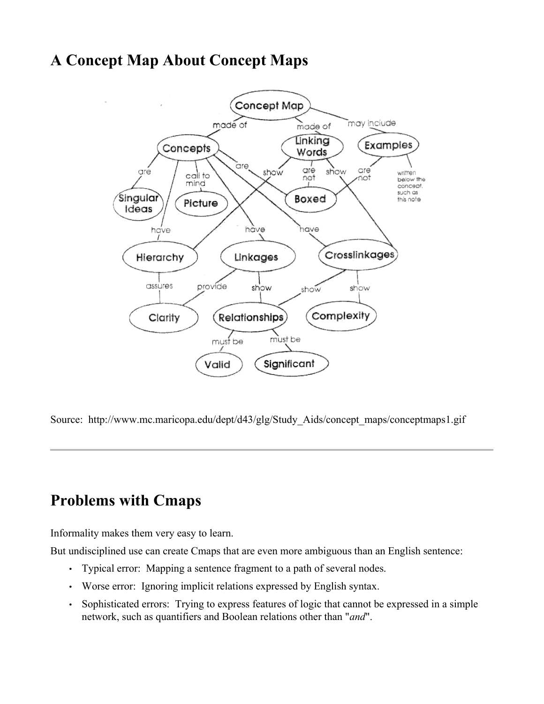### **A Concept Map About Concept Maps**



Source: http://www.mc.maricopa.edu/dept/d43/glg/Study Aids/concept\_maps/conceptmaps1.gif

### **Problems with Cmaps**

Informality makes them very easy to learn.

But undisciplined use can create Cmaps that are even more ambiguous than an English sentence:

- Typical error: Mapping a sentence fragment to a path of several nodes.
- Worse error: Ignoring implicit relations expressed by English syntax.
- Sophisticated errors: Trying to express features of logic that cannot be expressed in a simple network, such as quantifiers and Boolean relations other than "*and*".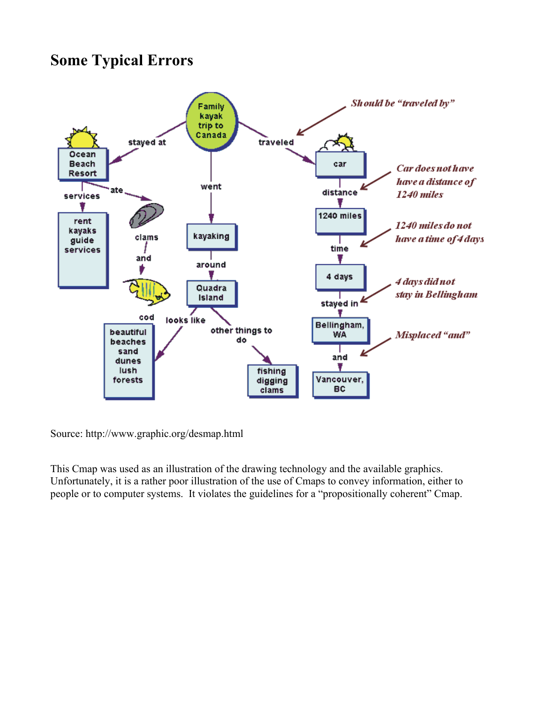### **Some Typical Errors**



Source: http://www.graphic.org/desmap.html

This Cmap was used as an illustration of the drawing technology and the available graphics. Unfortunately, it is a rather poor illustration of the use of Cmaps to convey information, either to people or to computer systems. It violates the guidelines for a "propositionally coherent" Cmap.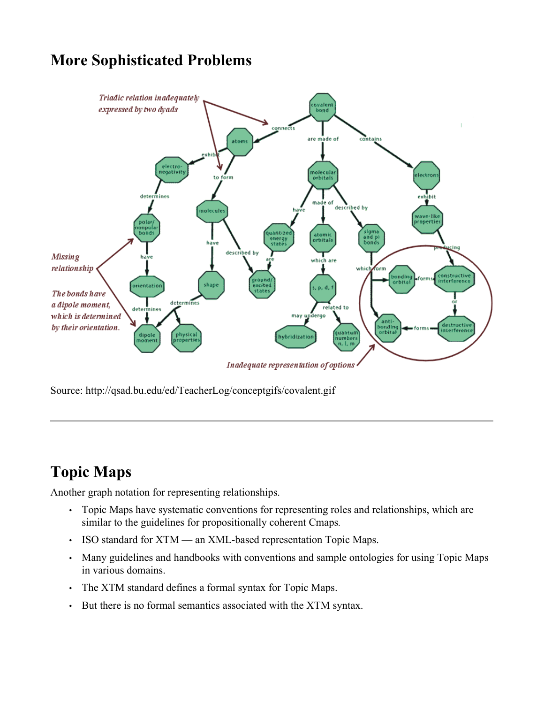### **More Sophisticated Problems**



Source: http://qsad.bu.edu/ed/TeacherLog/conceptgifs/covalent.gif

# **Topic Maps**

Another graph notation for representing relationships.

- Topic Maps have systematic conventions for representing roles and relationships, which are similar to the guidelines for propositionally coherent Cmaps*.*
- ISO standard for XTM an XML-based representation Topic Maps.
- Many guidelines and handbooks with conventions and sample ontologies for using Topic Maps in various domains.
- The XTM standard defines a formal syntax for Topic Maps.
- But there is no formal semantics associated with the XTM syntax.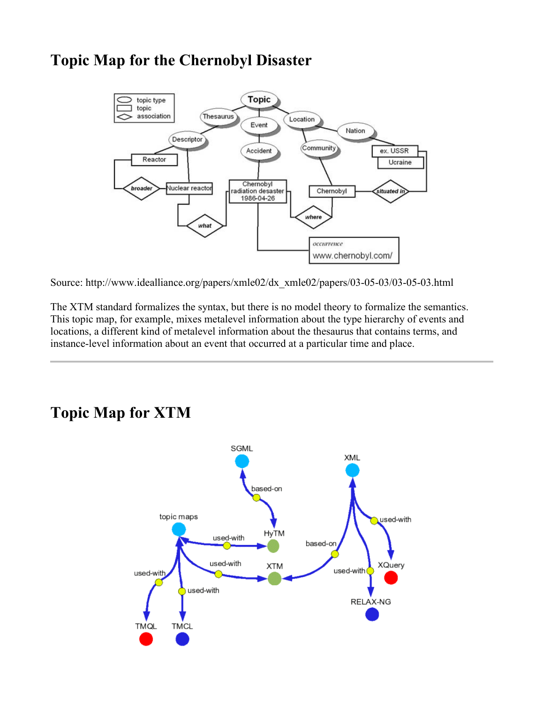### **Topic Map for the Chernobyl Disaster**



Source: http://www.idealliance.org/papers/xmle02/dx\_xmle02/papers/03-05-03/03-05-03.html

The XTM standard formalizes the syntax, but there is no model theory to formalize the semantics. This topic map, for example, mixes metalevel information about the type hierarchy of events and locations, a different kind of metalevel information about the thesaurus that contains terms, and instance-level information about an event that occurred at a particular time and place.

#### **SGML** XML based-on topic maps used-with HyTM used-with based-or used-with **XTM XQuery** used-with used-with used-with RELAX-NG **TMQL TMCL**

# **Topic Map for XTM**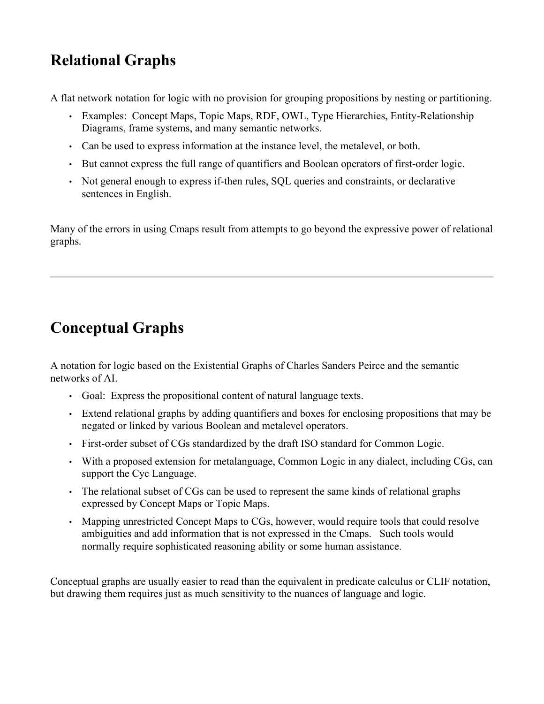# **Relational Graphs**

A flat network notation for logic with no provision for grouping propositions by nesting or partitioning.

- Examples: Concept Maps, Topic Maps, RDF, OWL, Type Hierarchies, Entity-Relationship Diagrams, frame systems, and many semantic networks.
- Can be used to express information at the instance level, the metalevel, or both.
- But cannot express the full range of quantifiers and Boolean operators of first-order logic.
- Not general enough to express if-then rules, SQL queries and constraints, or declarative sentences in English.

Many of the errors in using Cmaps result from attempts to go beyond the expressive power of relational graphs.

# **Conceptual Graphs**

A notation for logic based on the Existential Graphs of Charles Sanders Peirce and the semantic networks of AI.

- Goal: Express the propositional content of natural language texts.
- Extend relational graphs by adding quantifiers and boxes for enclosing propositions that may be negated or linked by various Boolean and metalevel operators.
- First-order subset of CGs standardized by the draft ISO standard for Common Logic.
- With a proposed extension for metalanguage, Common Logic in any dialect, including CGs, can support the Cyc Language.
- The relational subset of CGs can be used to represent the same kinds of relational graphs expressed by Concept Maps or Topic Maps.
- Mapping unrestricted Concept Maps to CGs, however, would require tools that could resolve ambiguities and add information that is not expressed in the Cmaps. Such tools would normally require sophisticated reasoning ability or some human assistance.

Conceptual graphs are usually easier to read than the equivalent in predicate calculus or CLIF notation, but drawing them requires just as much sensitivity to the nuances of language and logic.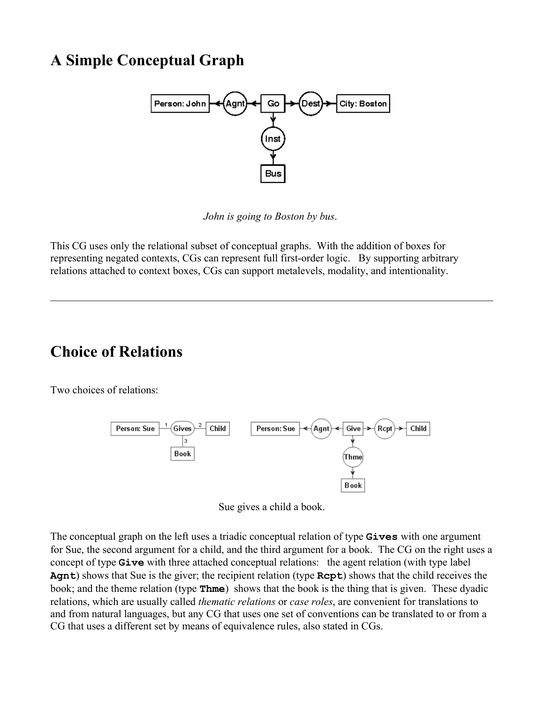### **A Simple Conceptual Graph**



*John is going to Boston by bus*.

This CG uses only the relational subset of conceptual graphs. With the addition of boxes for representing negated contexts, CGs can represent full first-order logic. By supporting arbitrary relations attached to context boxes, CGs can support metalevels, modality, and intentionality.

### **Choice of Relations**

Two choices of relations:



Sue gives a child a book.

The conceptual graph on the left uses a triadic conceptual relation of type **Gives** with one argument for Sue, the second argument for a child, and the third argument for a book. The CG on the right uses a concept of type **Give** with three attached conceptual relations: the agent relation (with type label **Agnt**) shows that Sue is the giver; the recipient relation (type **Rcpt**) shows that the child receives the book; and the theme relation (type **Thme**) shows that the book is the thing that is given. These dyadic relations, which are usually called *thematic relations* or *case roles*, are convenient for translations to and from natural languages, but any CG that uses one set of conventions can be translated to or from a CG that uses a different set by means of equivalence rules, also stated in CGs.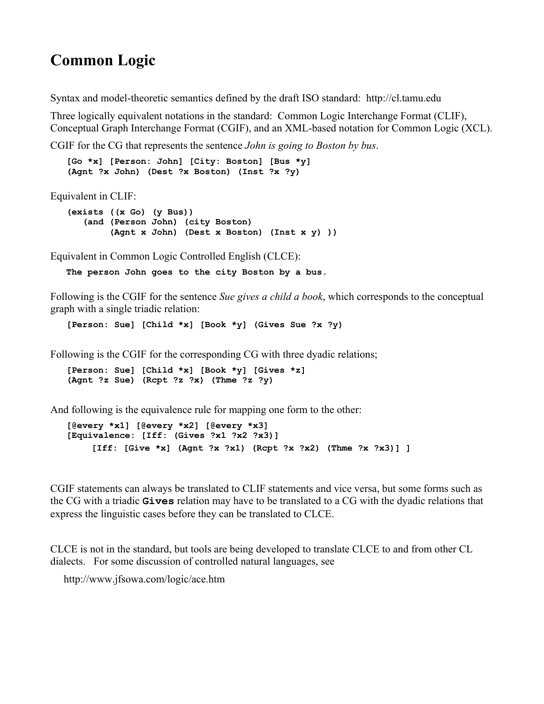### **Common Logic**

Syntax and model-theoretic semantics defined by the draft ISO standard: http://cl.tamu.edu

Three logically equivalent notations in the standard: Common Logic Interchange Format (CLIF), Conceptual Graph Interchange Format (CGIF), and an XML-based notation for Common Logic (XCL).

CGIF for the CG that represents the sentence *John is going to Boston by bus*.

 **[Go \*x] [Person: John] [City: Boston] [Bus \*y] (Agnt ?x John) (Dest ?x Boston) (Inst ?x ?y)**

Equivalent in CLIF:

```
 (exists ((x Go) (y Bus))
    (and (Person John) (city Boston)
         (Agnt x John) (Dest x Boston) (Inst x y) ))
```
Equivalent in Common Logic Controlled English (CLCE):

**The person John goes to the city Boston by a bus.**

Following is the CGIF for the sentence *Sue gives a child a book*, which corresponds to the conceptual graph with a single triadic relation:

**[Person: Sue] [Child \*x] [Book \*y] (Gives Sue ?x ?y)**

Following is the CGIF for the corresponding CG with three dyadic relations;

 **[Person: Sue] [Child \*x] [Book \*y] [Gives \*z] (Agnt ?z Sue) (Rcpt ?z ?x) (Thme ?z ?y)**

And following is the equivalence rule for mapping one form to the other:

 **[@every \*x1] [@every \*x2] [@every \*x3] [Equivalence: [Iff: (Gives ?x1 ?x2 ?x3)] [Iff: [Give \*x] (Agnt ?x ?x1) (Rcpt ?x ?x2) (Thme ?x ?x3)] ]**

CGIF statements can always be translated to CLIF statements and vice versa, but some forms such as the CG with a triadic **Gives** relation may have to be translated to a CG with the dyadic relations that express the linguistic cases before they can be translated to CLCE.

CLCE is not in the standard, but tools are being developed to translate CLCE to and from other CL dialects. For some discussion of controlled natural languages, see

http://www.jfsowa.com/logic/ace.htm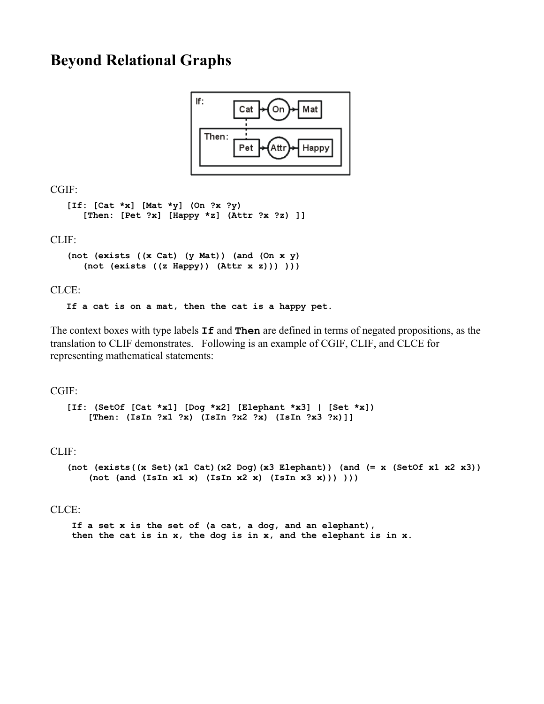#### **Beyond Relational Graphs**



CGIF:

```
 [If: [Cat *x] [Mat *y] (On ?x ?y)
    [Then: [Pet ?x] [Happy *z] (Attr ?x ?z) ]]
```
CLIF:

```
 (not (exists ((x Cat) (y Mat)) (and (On x y)
    (not (exists ((z Happy)) (Attr x z))) )))
```
#### CLCE:

**If a cat is on a mat, then the cat is a happy pet.**

The context boxes with type labels **If** and **Then** are defined in terms of negated propositions, as the translation to CLIF demonstrates. Following is an example of CGIF, CLIF, and CLCE for representing mathematical statements:

#### CGIF:

```
 [If: (SetOf [Cat *x1] [Dog *x2] [Elephant *x3] | [Set *x])
     [Then: (IsIn ?x1 ?x) (IsIn ?x2 ?x) (IsIn ?x3 ?x)]]
```
#### CLIF:

```
 (not (exists((x Set)(x1 Cat)(x2 Dog)(x3 Elephant)) (and (= x (SetOf x1 x2 x3))
   (not (and (IsIn x1 x) (IsIn x2 x) (IsIn x3 x)))
```
#### CLCE:

 **If a set x is the set of (a cat, a dog, and an elephant), then the cat is in x, the dog is in x, and the elephant is in x.**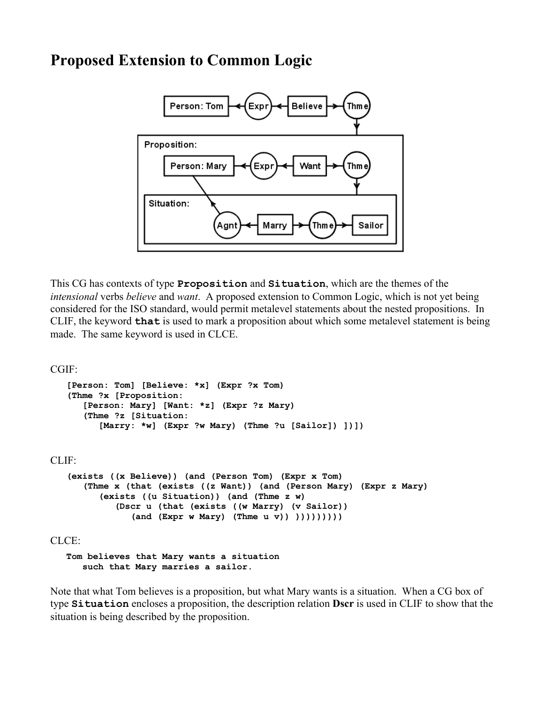#### **Proposed Extension to Common Logic**



This CG has contexts of type **Proposition** and **Situation**, which are the themes of the *intensional* verbs *believe* and *want*. A proposed extension to Common Logic, which is not yet being considered for the ISO standard, would permit metalevel statements about the nested propositions. In CLIF, the keyword **that** is used to mark a proposition about which some metalevel statement is being made. The same keyword is used in CLCE.

#### CGIF:

```
 [Person: Tom] [Believe: *x] (Expr ?x Tom)
    (Thme ?x [Proposition:
       [Person: Mary] [Want: *z] (Expr ?z Mary)
       (Thme ?z [Situation:
          [Marry: *w] (Expr ?w Mary) (Thme ?u [Sailor]) ])])
CLIF:
    (exists ((x Believe)) (and (Person Tom) (Expr x Tom)
       (Thme x (that (exists ((z Want)) (and (Person Mary) (Expr z Mary)
          (exists ((u Situation)) (and (Thme z w)
             (Dscr u (that (exists ((w Marry) (v Sailor))
                 (and (Expr w Mary) (Thme u v)) )))))))))
CLCE:
    Tom believes that Mary wants a situation
```
 **such that Mary marries a sailor.**

Note that what Tom believes is a proposition, but what Mary wants is a situation. When a CG box of type **Situation** encloses a proposition, the description relation **Dscr** is used in CLIF to show that the situation is being described by the proposition.